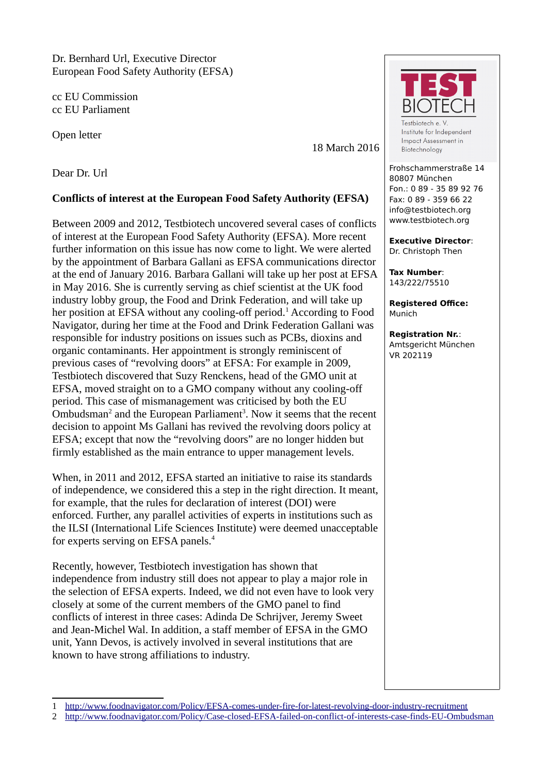Dr. Bernhard Url, Executive Director European Food Safety Authority (EFSA)

cc EU Commission cc EU Parliament

Open letter

18 March 2016

Dear Dr. Url

## **Conflicts of interest at the European Food Safety Authority (EFSA)**

Between 2009 and 2012, Testbiotech uncovered several cases of conflicts of interest at the European Food Safety Authority (EFSA). More recent further information on this issue has now come to light. We were alerted by the appointment of Barbara Gallani as EFSA communications director at the end of January 2016. Barbara Gallani will take up her post at EFSA in May 2016. She is currently serving as chief scientist at the UK food industry lobby group, the Food and Drink Federation, and will take up her position at EFSA without any cooling-off period.<sup>[1](#page-0-0)</sup> According to Food Navigator, during her time at the Food and Drink Federation Gallani was responsible for industry positions on issues such as PCBs, dioxins and organic contaminants. Her appointment is strongly reminiscent of previous cases of "revolving doors" at EFSA: For example in 2009, Testbiotech discovered that Suzy Renckens, head of the GMO unit at EFSA, moved straight on to a GMO company without any cooling-off period. This case of mismanagement was criticised by both the EU Ombudsman<sup>[2](#page-0-1)</sup> and the European Parliament<sup>3</sup>. Now it seems that the recent decision to appoint Ms Gallani has revived the revolving doors policy at EFSA; except that now the "revolving doors" are no longer hidden but firmly established as the main entrance to upper management levels.

When, in 2011 and 2012, EFSA started an initiative to raise its standards of independence, we considered this a step in the right direction. It meant, for example, that the rules for declaration of interest (DOI) were enforced. Further, any parallel activities of experts in institutions such as the ILSI (International Life Sciences Institute) were deemed unacceptable for experts serving on EFSA panels.<sup>4</sup>

Recently, however, Testbiotech investigation has shown that independence from industry still does not appear to play a major role in the selection of EFSA experts. Indeed, we did not even have to look very closely at some of the current members of the GMO panel to find conflicts of interest in three cases: Adinda De Schrijver, Jeremy Sweet and Jean-Michel Wal. In addition, a staff member of EFSA in the GMO unit, Yann Devos, is actively involved in several institutions that are known to have strong affiliations to industry.



Testbiotech e.V Institute for Independent Impact Assessment in Biotechnology

Frohschammerstraße 14 80807 München Fon.: 0 89 - 35 89 92 76 Fax: 0 89 - 359 66 22 info@testbiotech.org www.testbiotech.org

**Executive Director**: Dr. Christoph Then

**Tax Number**: 143/222/75510

**Registered Office:** Munich

**Registration Nr.**: Amtsgericht München VR 202119

<span id="page-0-0"></span><sup>1</sup> [http://www.foodnavigator.com/Policy/EFSA-comes-under-fire-for-latest-revolving-door-industry-recruitment](file:///h)

<span id="page-0-1"></span><sup>2</sup> <http://www.foodnavigator.com/Policy/Case-closed-EFSA-failed-on-conflict-of-interests-case-finds-EU-Ombudsman>